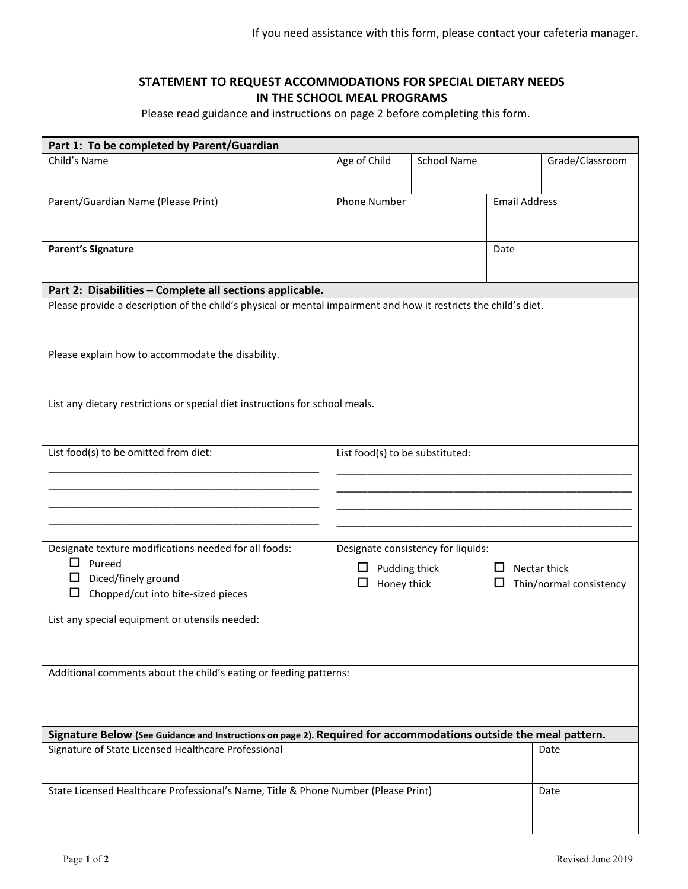## **STATEMENT TO REQUEST ACCOMMODATIONS FOR SPECIAL DIETARY NEEDS IN THE SCHOOL MEAL PROGRAMS**

Please read guidance and instructions on page 2 before completing this form.

| Part 1: To be completed by Parent/Guardian                                                                       |                                    |                    |                      |                         |  |
|------------------------------------------------------------------------------------------------------------------|------------------------------------|--------------------|----------------------|-------------------------|--|
| Child's Name                                                                                                     | Age of Child                       | <b>School Name</b> |                      | Grade/Classroom         |  |
|                                                                                                                  |                                    |                    |                      |                         |  |
| Parent/Guardian Name (Please Print)                                                                              | <b>Phone Number</b>                |                    | <b>Email Address</b> |                         |  |
|                                                                                                                  |                                    |                    |                      |                         |  |
|                                                                                                                  |                                    |                    |                      |                         |  |
| <b>Parent's Signature</b>                                                                                        |                                    |                    | Date                 |                         |  |
|                                                                                                                  |                                    |                    |                      |                         |  |
|                                                                                                                  |                                    |                    |                      |                         |  |
| Part 2: Disabilities - Complete all sections applicable.                                                         |                                    |                    |                      |                         |  |
| Please provide a description of the child's physical or mental impairment and how it restricts the child's diet. |                                    |                    |                      |                         |  |
|                                                                                                                  |                                    |                    |                      |                         |  |
|                                                                                                                  |                                    |                    |                      |                         |  |
| Please explain how to accommodate the disability.                                                                |                                    |                    |                      |                         |  |
|                                                                                                                  |                                    |                    |                      |                         |  |
| List any dietary restrictions or special diet instructions for school meals.                                     |                                    |                    |                      |                         |  |
|                                                                                                                  |                                    |                    |                      |                         |  |
|                                                                                                                  |                                    |                    |                      |                         |  |
| List food(s) to be omitted from diet:                                                                            | List food(s) to be substituted:    |                    |                      |                         |  |
|                                                                                                                  |                                    |                    |                      |                         |  |
|                                                                                                                  |                                    |                    |                      |                         |  |
|                                                                                                                  |                                    |                    |                      |                         |  |
|                                                                                                                  |                                    |                    |                      |                         |  |
|                                                                                                                  |                                    |                    |                      |                         |  |
| Designate texture modifications needed for all foods:                                                            | Designate consistency for liquids: |                    |                      |                         |  |
| $\mathsf{L}$<br>Pureed                                                                                           | Pudding thick                      |                    |                      | Nectar thick            |  |
| Diced/finely ground<br>ப                                                                                         | Honey thick<br>Ц                   |                    |                      | Thin/normal consistency |  |
| □<br>Chopped/cut into bite-sized pieces                                                                          |                                    |                    |                      |                         |  |
| List any special equipment or utensils needed:                                                                   |                                    |                    |                      |                         |  |
|                                                                                                                  |                                    |                    |                      |                         |  |
|                                                                                                                  |                                    |                    |                      |                         |  |
| Additional comments about the child's eating or feeding patterns:                                                |                                    |                    |                      |                         |  |
|                                                                                                                  |                                    |                    |                      |                         |  |
|                                                                                                                  |                                    |                    |                      |                         |  |
|                                                                                                                  |                                    |                    |                      |                         |  |
| Signature Below (See Guidance and Instructions on page 2). Required for accommodations outside the meal pattern. |                                    |                    |                      |                         |  |
| Signature of State Licensed Healthcare Professional                                                              |                                    |                    |                      | Date                    |  |
|                                                                                                                  |                                    |                    |                      |                         |  |
| State Licensed Healthcare Professional's Name, Title & Phone Number (Please Print)                               |                                    |                    |                      |                         |  |
|                                                                                                                  |                                    |                    |                      | Date                    |  |
|                                                                                                                  |                                    |                    |                      |                         |  |
|                                                                                                                  |                                    |                    |                      |                         |  |